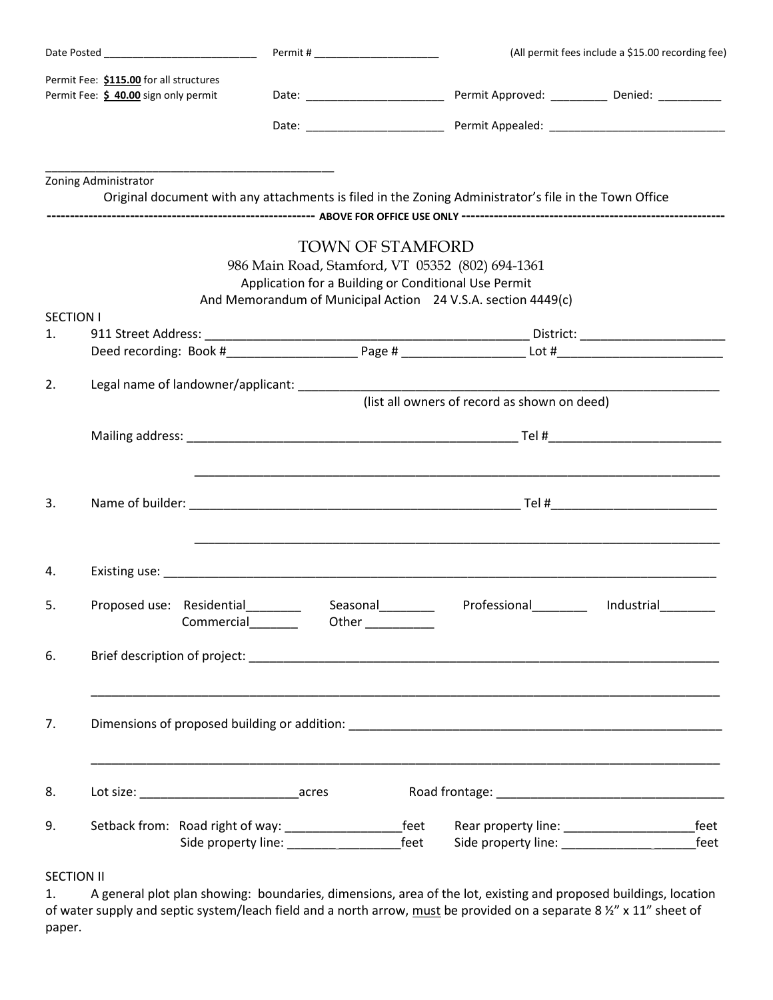| Permit Fee: \$115.00 for all structures<br>Permit Fee: \$ 40.00 sign only permit |                      | Permit # ________________________ |                                                                                 |  | (All permit fees include a \$15.00 recording fee)                                                                |              |  |  |
|----------------------------------------------------------------------------------|----------------------|-----------------------------------|---------------------------------------------------------------------------------|--|------------------------------------------------------------------------------------------------------------------|--------------|--|--|
|                                                                                  |                      |                                   |                                                                                 |  |                                                                                                                  |              |  |  |
|                                                                                  |                      |                                   |                                                                                 |  |                                                                                                                  |              |  |  |
|                                                                                  | Zoning Administrator |                                   |                                                                                 |  | Original document with any attachments is filed in the Zoning Administrator's file in the Town Office            |              |  |  |
|                                                                                  |                      |                                   |                                                                                 |  |                                                                                                                  |              |  |  |
|                                                                                  |                      |                                   | <b>TOWN OF STAMFORD</b><br>Application for a Building or Conditional Use Permit |  | 986 Main Road, Stamford, VT 05352 (802) 694-1361<br>And Memorandum of Municipal Action 24 V.S.A. section 4449(c) |              |  |  |
| <b>SECTION I</b><br>1.                                                           |                      |                                   |                                                                                 |  |                                                                                                                  |              |  |  |
|                                                                                  |                      |                                   |                                                                                 |  |                                                                                                                  |              |  |  |
| 2.                                                                               |                      |                                   |                                                                                 |  |                                                                                                                  |              |  |  |
|                                                                                  |                      |                                   |                                                                                 |  |                                                                                                                  |              |  |  |
| 3.                                                                               |                      |                                   |                                                                                 |  |                                                                                                                  |              |  |  |
| 4.                                                                               |                      |                                   |                                                                                 |  |                                                                                                                  |              |  |  |
| 5.                                                                               |                      | Commercial________                | Other __________                                                                |  |                                                                                                                  |              |  |  |
| 6.                                                                               |                      |                                   |                                                                                 |  |                                                                                                                  |              |  |  |
| 7.                                                                               |                      |                                   |                                                                                 |  |                                                                                                                  |              |  |  |
| 8.                                                                               |                      |                                   |                                                                                 |  |                                                                                                                  |              |  |  |
| 9.                                                                               |                      |                                   |                                                                                 |  |                                                                                                                  | feet<br>feet |  |  |

## SECTION II

1. A general plot plan showing: boundaries, dimensions, area of the lot, existing and proposed buildings, location of water supply and septic system/leach field and a north arrow, must be provided on a separate 8 ½" x 11" sheet of paper.